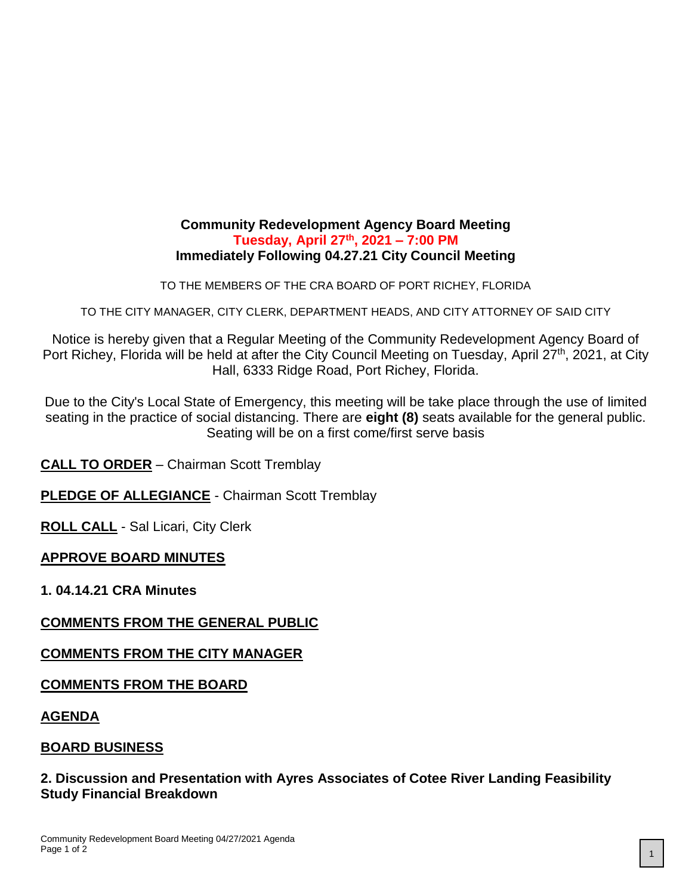## **Community Redevelopment Agency Board Meeting Tuesday, April 27th, 2021 – 7:00 PM Immediately Following 04.27.21 City Council Meeting**

TO THE MEMBERS OF THE CRA BOARD OF PORT RICHEY, FLORIDA

TO THE CITY MANAGER, CITY CLERK, DEPARTMENT HEADS, AND CITY ATTORNEY OF SAID CITY

Notice is hereby given that a Regular Meeting of the Community Redevelopment Agency Board of Port Richey, Florida will be held at after the City Council Meeting on Tuesday, April 27<sup>th</sup>, 2021, at City Hall, 6333 Ridge Road, Port Richey, Florida.

Due to the City's Local State of Emergency, this meeting will be take place through the use of limited seating in the practice of social distancing. There are **eight (8)** seats available for the general public. Seating will be on a first come/first serve basis

**CALL TO ORDER** – Chairman Scott Tremblay

**PLEDGE OF ALLEGIANCE** - Chairman Scott Tremblay

**ROLL CALL** - Sal Licari, City Clerk

#### **APPROVE BOARD MINUTES**

**1. 04.14.21 CRA Minutes**

# **COMMENTS FROM THE GENERAL PUBLIC**

#### **COMMENTS FROM THE CITY MANAGER**

#### **COMMENTS FROM THE BOARD**

**AGENDA**

#### **BOARD BUSINESS**

## **2. Discussion and Presentation with Ayres Associates of Cotee River Landing Feasibility Study Financial Breakdown**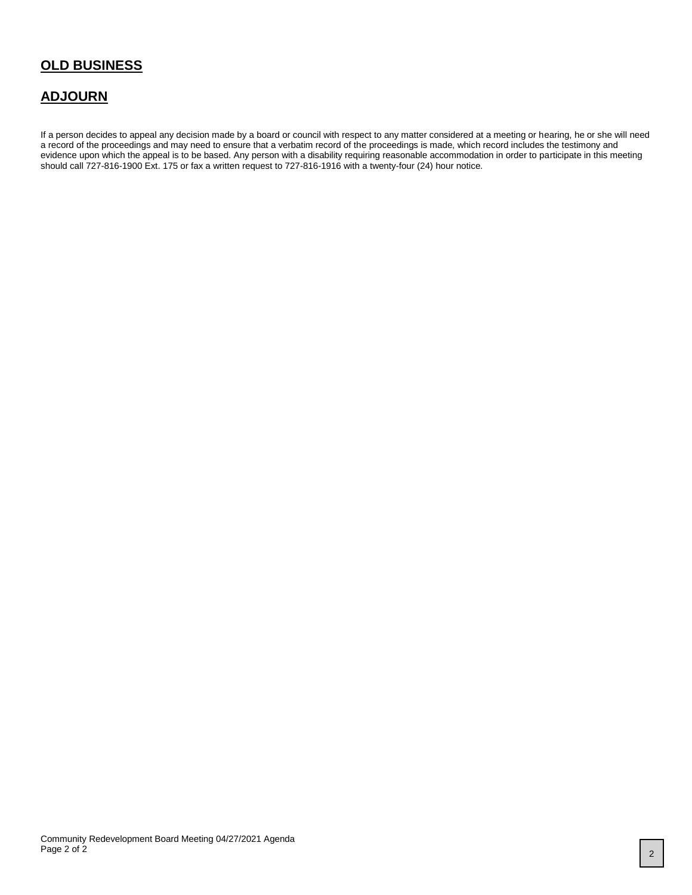## **OLD BUSINESS**

### **ADJOURN**

If a person decides to appeal any decision made by a board or council with respect to any matter considered at a meeting or hearing, he or she will need a record of the proceedings and may need to ensure that a verbatim record of the proceedings is made, which record includes the testimony and evidence upon which the appeal is to be based. Any person with a disability requiring reasonable accommodation in order to participate in this meeting should call 727-816-1900 Ext. 175 or fax a written request to 727-816-1916 with a twenty-four (24) hour notice.